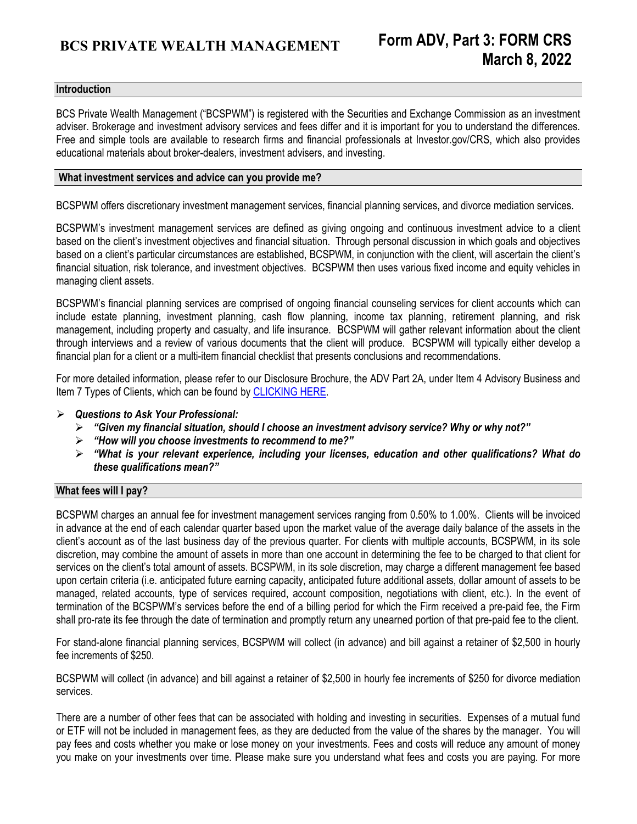### **Introduction**

BCS Private Wealth Management ("BCSPWM") is registered with the Securities and Exchange Commission as an investment adviser. Brokerage and investment advisory services and fees differ and it is important for you to understand the differences. Free and simple tools are available to research firms and financial professionals at Investor.gov/CRS, which also provides educational materials about broker-dealers, investment advisers, and investing.

#### **What investment services and advice can you provide me?**

BCSPWM offers discretionary investment management services, financial planning services, and divorce mediation services.

BCSPWM's investment management services are defined as giving ongoing and continuous investment advice to a client based on the client's investment objectives and financial situation. Through personal discussion in which goals and objectives based on a client's particular circumstances are established, BCSPWM, in conjunction with the client, will ascertain the client's financial situation, risk tolerance, and investment objectives. BCSPWM then uses various fixed income and equity vehicles in managing client assets.

BCSPWM's financial planning services are comprised of ongoing financial counseling services for client accounts which can include estate planning, investment planning, cash flow planning, income tax planning, retirement planning, and risk management, including property and casualty, and life insurance. BCSPWM will gather relevant information about the client through interviews and a review of various documents that the client will produce. BCSPWM will typically either develop a financial plan for a client or a multi-item financial checklist that presents conclusions and recommendations.

For more detailed information, please refer to our Disclosure Brochure, the ADV Part 2A, under Item 4 Advisory Business and Item 7 Types of Clients, which can be found by [CLICKING HERE.](https://adviserinfo.sec.gov/firm/summary/174761) 

- *Questions to Ask Your Professional:* 
	- *"Given my financial situation, should I choose an investment advisory service? Why or why not?"*
	- *"How will you choose investments to recommend to me?"*
	- *"What is your relevant experience, including your licenses, education and other qualifications? What do these qualifications mean?"*

## **What fees will I pay?**

BCSPWM charges an annual fee for investment management services ranging from 0.50% to 1.00%. Clients will be invoiced in advance at the end of each calendar quarter based upon the market value of the average daily balance of the assets in the client's account as of the last business day of the previous quarter. For clients with multiple accounts, BCSPWM, in its sole discretion, may combine the amount of assets in more than one account in determining the fee to be charged to that client for services on the client's total amount of assets. BCSPWM, in its sole discretion, may charge a different management fee based upon certain criteria (i.e. anticipated future earning capacity, anticipated future additional assets, dollar amount of assets to be managed, related accounts, type of services required, account composition, negotiations with client, etc.). In the event of termination of the BCSPWM's services before the end of a billing period for which the Firm received a pre-paid fee, the Firm shall pro-rate its fee through the date of termination and promptly return any unearned portion of that pre-paid fee to the client.

For stand-alone financial planning services, BCSPWM will collect (in advance) and bill against a retainer of \$2,500 in hourly fee increments of \$250.

BCSPWM will collect (in advance) and bill against a retainer of \$2,500 in hourly fee increments of \$250 for divorce mediation services.

There are a number of other fees that can be associated with holding and investing in securities. Expenses of a mutual fund or ETF will not be included in management fees, as they are deducted from the value of the shares by the manager. You will pay fees and costs whether you make or lose money on your investments. Fees and costs will reduce any amount of money you make on your investments over time. Please make sure you understand what fees and costs you are paying. For more